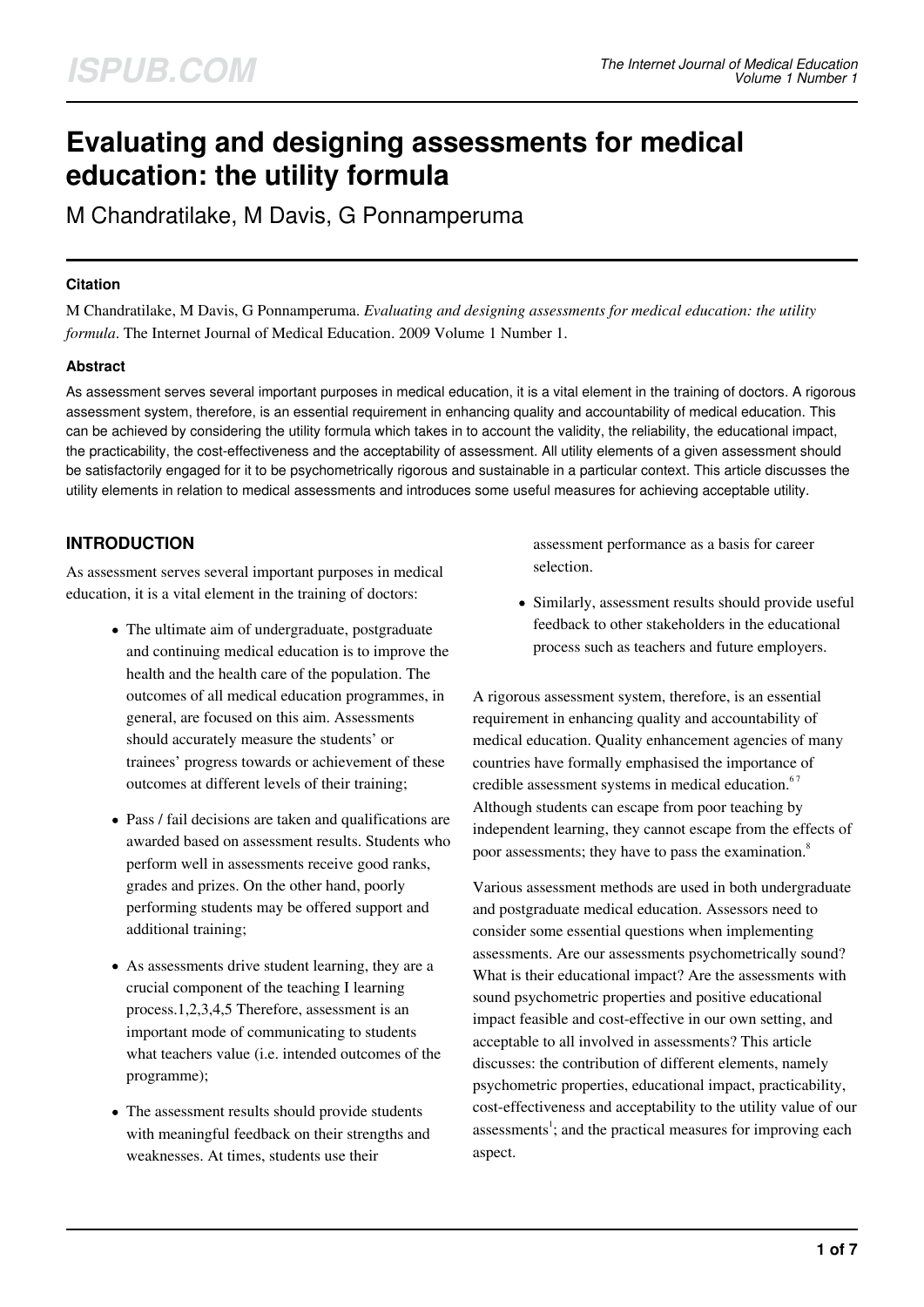# **Evaluating and designing assessments for medical education: the utility formula**

M Chandratilake, M Davis, G Ponnamperuma

#### **Citation**

M Chandratilake, M Davis, G Ponnamperuma. *Evaluating and designing assessments for medical education: the utility formula*. The Internet Journal of Medical Education. 2009 Volume 1 Number 1.

#### **Abstract**

As assessment serves several important purposes in medical education, it is a vital element in the training of doctors. A rigorous assessment system, therefore, is an essential requirement in enhancing quality and accountability of medical education. This can be achieved by considering the utility formula which takes in to account the validity, the reliability, the educational impact, the practicability, the cost-effectiveness and the acceptability of assessment. All utility elements of a given assessment should be satisfactorily engaged for it to be psychometrically rigorous and sustainable in a particular context. This article discusses the utility elements in relation to medical assessments and introduces some useful measures for achieving acceptable utility.

## **INTRODUCTION**

As assessment serves several important purposes in medical education, it is a vital element in the training of doctors:

- The ultimate aim of undergraduate, postgraduate and continuing medical education is to improve the health and the health care of the population. The outcomes of all medical education programmes, in general, are focused on this aim. Assessments should accurately measure the students' or trainees' progress towards or achievement of these outcomes at different levels of their training;
- Pass / fail decisions are taken and qualifications are awarded based on assessment results. Students who perform well in assessments receive good ranks, grades and prizes. On the other hand, poorly performing students may be offered support and additional training;
- As assessments drive student learning, they are a crucial component of the teaching I learning process.1,2,3,4,5 Therefore, assessment is an important mode of communicating to students what teachers value (i.e. intended outcomes of the programme);
- The assessment results should provide students with meaningful feedback on their strengths and weaknesses. At times, students use their

assessment performance as a basis for career selection.

Similarly, assessment results should provide useful feedback to other stakeholders in the educational process such as teachers and future employers.

A rigorous assessment system, therefore, is an essential requirement in enhancing quality and accountability of medical education. Quality enhancement agencies of many countries have formally emphasised the importance of credible assessment systems in medical education.<sup>67</sup> Although students can escape from poor teaching by independent learning, they cannot escape from the effects of poor assessments; they have to pass the examination.<sup>8</sup>

Various assessment methods are used in both undergraduate and postgraduate medical education. Assessors need to consider some essential questions when implementing assessments. Are our assessments psychometrically sound? What is their educational impact? Are the assessments with sound psychometric properties and positive educational impact feasible and cost-effective in our own setting, and acceptable to all involved in assessments? This article discusses: the contribution of different elements, namely psychometric properties, educational impact, practicability, cost-effectiveness and acceptability to the utility value of our assessments<sup>1</sup>; and the practical measures for improving each aspect.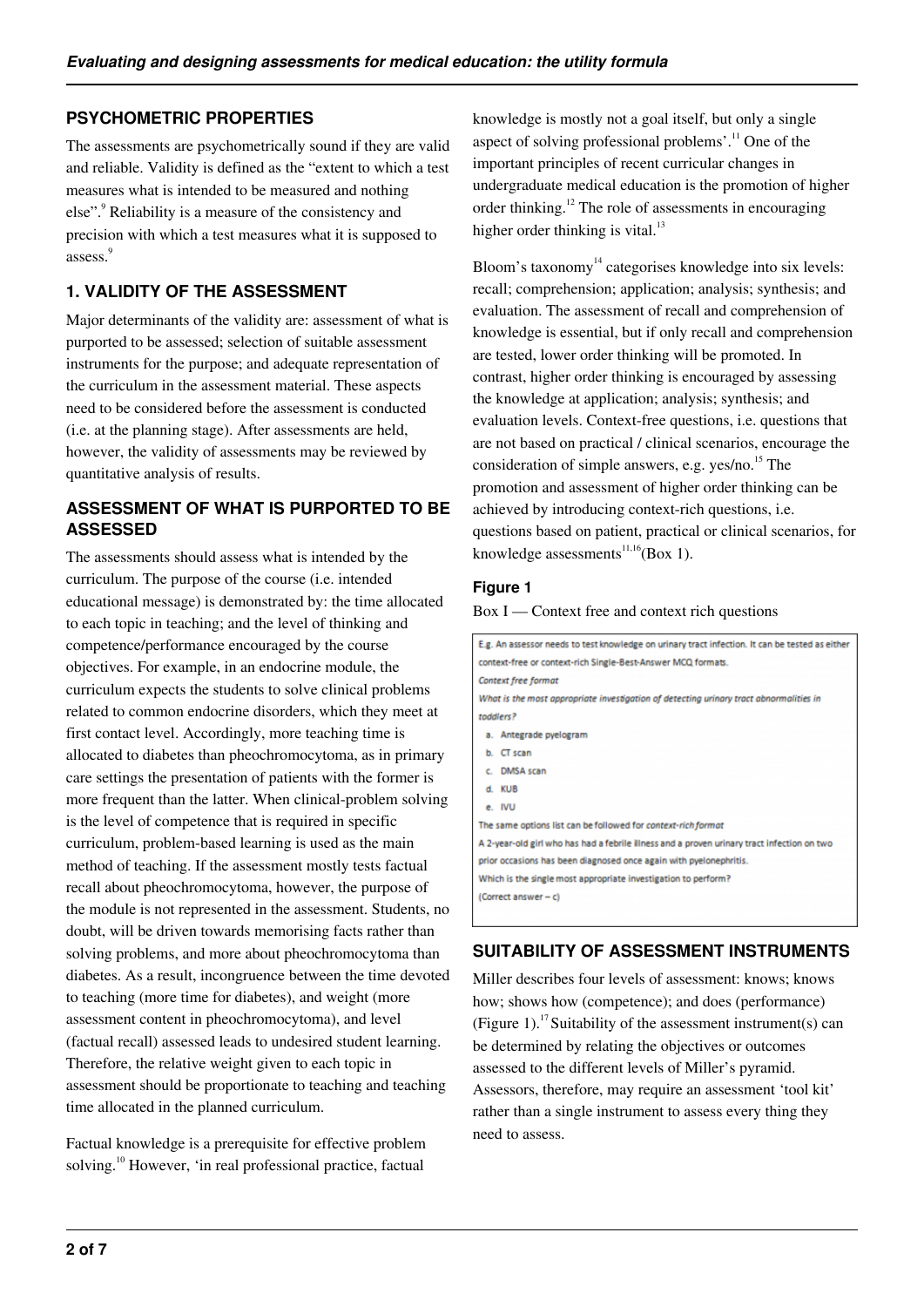## **PSYCHOMETRIC PROPERTIES**

The assessments are psychometrically sound if they are valid and reliable. Validity is defined as the "extent to which a test measures what is intended to be measured and nothing else".<sup>9</sup> Reliability is a measure of the consistency and precision with which a test measures what it is supposed to assess. 9

## **1. VALIDITY OF THE ASSESSMENT**

Major determinants of the validity are: assessment of what is purported to be assessed; selection of suitable assessment instruments for the purpose; and adequate representation of the curriculum in the assessment material. These aspects need to be considered before the assessment is conducted (i.e. at the planning stage). After assessments are held, however, the validity of assessments may be reviewed by quantitative analysis of results.

## **ASSESSMENT OF WHAT IS PURPORTED TO BE ASSESSED**

The assessments should assess what is intended by the curriculum. The purpose of the course (i.e. intended educational message) is demonstrated by: the time allocated to each topic in teaching; and the level of thinking and competence/performance encouraged by the course objectives. For example, in an endocrine module, the curriculum expects the students to solve clinical problems related to common endocrine disorders, which they meet at first contact level. Accordingly, more teaching time is allocated to diabetes than pheochromocytoma, as in primary care settings the presentation of patients with the former is more frequent than the latter. When clinical-problem solving is the level of competence that is required in specific curriculum, problem-based learning is used as the main method of teaching. If the assessment mostly tests factual recall about pheochromocytoma, however, the purpose of the module is not represented in the assessment. Students, no doubt, will be driven towards memorising facts rather than solving problems, and more about pheochromocytoma than diabetes. As a result, incongruence between the time devoted to teaching (more time for diabetes), and weight (more assessment content in pheochromocytoma), and level (factual recall) assessed leads to undesired student learning. Therefore, the relative weight given to each topic in assessment should be proportionate to teaching and teaching time allocated in the planned curriculum.

Factual knowledge is a prerequisite for effective problem solving.<sup>10</sup> However, 'in real professional practice, factual

knowledge is mostly not a goal itself, but only a single aspect of solving professional problems'.<sup>11</sup> One of the important principles of recent curricular changes in undergraduate medical education is the promotion of higher order thinking.<sup>12</sup> The role of assessments in encouraging higher order thinking is vital. $^{13}$ 

Bloom's taxonomy<sup>14</sup> categorises knowledge into six levels: recall; comprehension; application; analysis; synthesis; and evaluation. The assessment of recall and comprehension of knowledge is essential, but if only recall and comprehension are tested, lower order thinking will be promoted. In contrast, higher order thinking is encouraged by assessing the knowledge at application; analysis; synthesis; and evaluation levels. Context-free questions, i.e. questions that are not based on practical / clinical scenarios, encourage the consideration of simple answers, e.g. yes/no. $^{15}$  The promotion and assessment of higher order thinking can be achieved by introducing context-rich questions, i.e. questions based on patient, practical or clinical scenarios, for knowledge assessments<sup>11,16</sup>(Box 1).

#### **Figure 1**

Box I — Context free and context rich questions

| E.g. An assessor needs to test knowledge on urinary tract infection. It can be tested as either |
|-------------------------------------------------------------------------------------------------|
| context-free or context-rich Single-Best-Answer MCQ formats.                                    |
| Context free format                                                                             |
| What is the most appropriate investigation of detecting urinary tract abnormalities in          |
| toddlers?                                                                                       |
| a. Antegrade pyelogram                                                                          |
| b. CT scan                                                                                      |
| c. DMSA scan                                                                                    |
| d. KUB                                                                                          |
| e. IVU                                                                                          |
| The same options list can be followed for context-rich format                                   |
| A 2-year-old girl who has had a febrile illness and a proven urinary tract infection on two     |
| prior occasions has been diagnosed once again with pyelonephritis.                              |
| Which is the single most appropriate investigation to perform?                                  |
| (Correct answer - c)                                                                            |
|                                                                                                 |

#### **SUITABILITY OF ASSESSMENT INSTRUMENTS**

Miller describes four levels of assessment: knows; knows how; shows how (competence); and does (performance) (Figure 1).<sup>17</sup> Suitability of the assessment instrument(s) can be determined by relating the objectives or outcomes assessed to the different levels of Miller's pyramid. Assessors, therefore, may require an assessment 'tool kit' rather than a single instrument to assess every thing they need to assess.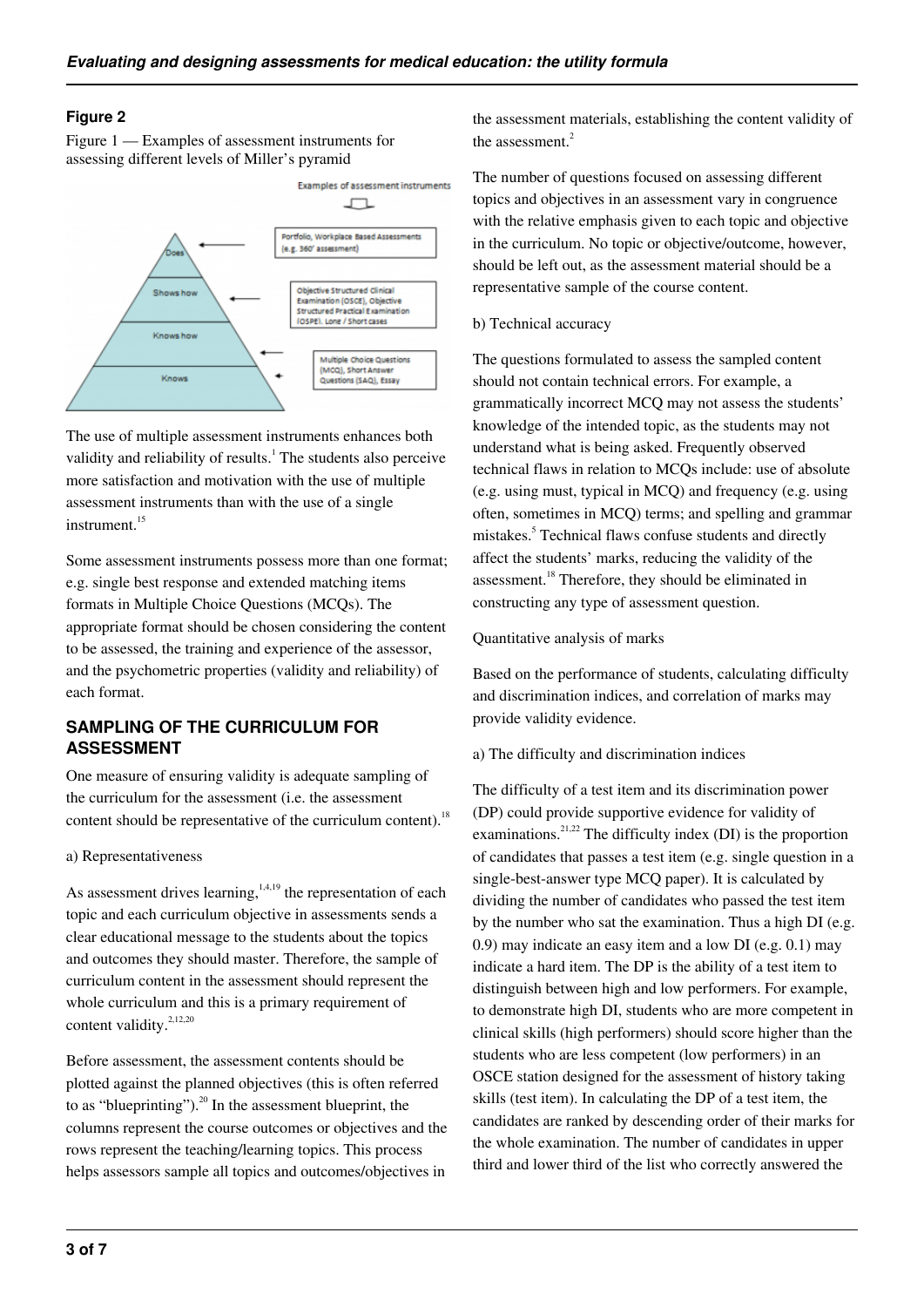#### **Figure 2**

Figure 1 — Examples of assessment instruments for assessing different levels of Miller's pyramid



The use of multiple assessment instruments enhances both validity and reliability of results.<sup>1</sup> The students also perceive more satisfaction and motivation with the use of multiple assessment instruments than with the use of a single  $in$ strument $15$ 

Some assessment instruments possess more than one format; e.g. single best response and extended matching items formats in Multiple Choice Questions (MCQs). The appropriate format should be chosen considering the content to be assessed, the training and experience of the assessor, and the psychometric properties (validity and reliability) of each format.

## **SAMPLING OF THE CURRICULUM FOR ASSESSMENT**

One measure of ensuring validity is adequate sampling of the curriculum for the assessment (i.e. the assessment content should be representative of the curriculum content).<sup>18</sup>

#### a) Representativeness

As assessment drives learning,<sup>1,4,19</sup> the representation of each topic and each curriculum objective in assessments sends a clear educational message to the students about the topics and outcomes they should master. Therefore, the sample of curriculum content in the assessment should represent the whole curriculum and this is a primary requirement of content validity. $2,12,20$ 

Before assessment, the assessment contents should be plotted against the planned objectives (this is often referred to as "blueprinting"). $^{20}$  In the assessment blueprint, the columns represent the course outcomes or objectives and the rows represent the teaching/learning topics. This process helps assessors sample all topics and outcomes/objectives in

the assessment materials, establishing the content validity of the assessment.<sup>2</sup>

The number of questions focused on assessing different topics and objectives in an assessment vary in congruence with the relative emphasis given to each topic and objective in the curriculum. No topic or objective/outcome, however, should be left out, as the assessment material should be a representative sample of the course content.

#### b) Technical accuracy

The questions formulated to assess the sampled content should not contain technical errors. For example, a grammatically incorrect MCQ may not assess the students' knowledge of the intended topic, as the students may not understand what is being asked. Frequently observed technical flaws in relation to MCQs include: use of absolute (e.g. using must, typical in MCQ) and frequency (e.g. using often, sometimes in MCQ) terms; and spelling and grammar mistakes.<sup>5</sup> Technical flaws confuse students and directly affect the students' marks, reducing the validity of the assessment.<sup>18</sup> Therefore, they should be eliminated in constructing any type of assessment question.

#### Quantitative analysis of marks

Based on the performance of students, calculating difficulty and discrimination indices, and correlation of marks may provide validity evidence.

#### a) The difficulty and discrimination indices

The difficulty of a test item and its discrimination power (DP) could provide supportive evidence for validity of examinations.<sup>21,22</sup> The difficulty index (DI) is the proportion of candidates that passes a test item (e.g. single question in a single-best-answer type MCQ paper). It is calculated by dividing the number of candidates who passed the test item by the number who sat the examination. Thus a high DI (e.g. 0.9) may indicate an easy item and a low DI (e.g. 0.1) may indicate a hard item. The DP is the ability of a test item to distinguish between high and low performers. For example, to demonstrate high DI, students who are more competent in clinical skills (high performers) should score higher than the students who are less competent (low performers) in an OSCE station designed for the assessment of history taking skills (test item). In calculating the DP of a test item, the candidates are ranked by descending order of their marks for the whole examination. The number of candidates in upper third and lower third of the list who correctly answered the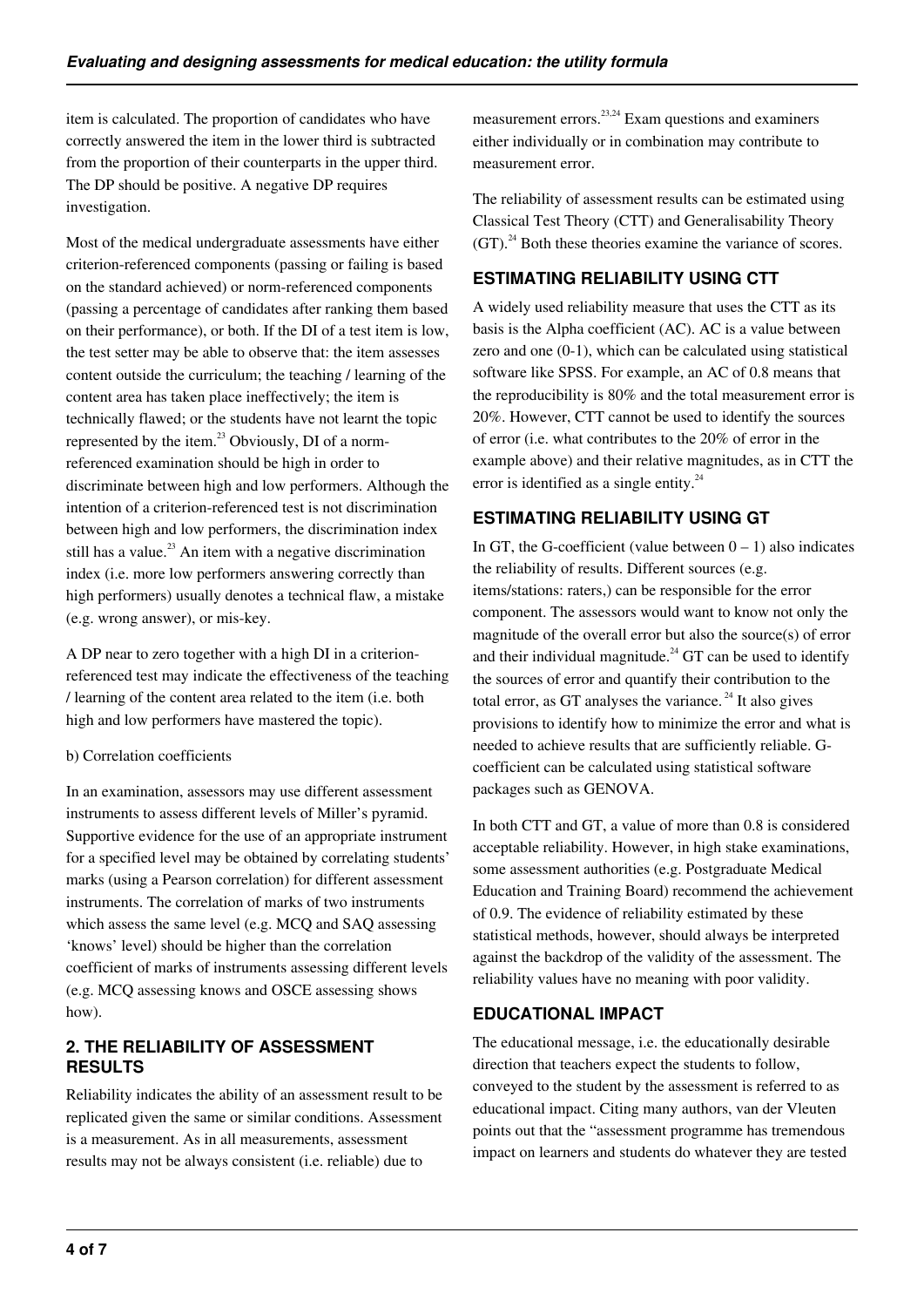item is calculated. The proportion of candidates who have correctly answered the item in the lower third is subtracted from the proportion of their counterparts in the upper third. The DP should be positive. A negative DP requires investigation.

Most of the medical undergraduate assessments have either criterion-referenced components (passing or failing is based on the standard achieved) or norm-referenced components (passing a percentage of candidates after ranking them based on their performance), or both. If the DI of a test item is low, the test setter may be able to observe that: the item assesses content outside the curriculum; the teaching / learning of the content area has taken place ineffectively; the item is technically flawed; or the students have not learnt the topic represented by the item.<sup>23</sup> Obviously, DI of a normreferenced examination should be high in order to discriminate between high and low performers. Although the intention of a criterion-referenced test is not discrimination between high and low performers, the discrimination index still has a value.<sup>23</sup> An item with a negative discrimination index (i.e. more low performers answering correctly than high performers) usually denotes a technical flaw, a mistake (e.g. wrong answer), or mis-key.

A DP near to zero together with a high DI in a criterionreferenced test may indicate the effectiveness of the teaching / learning of the content area related to the item (i.e. both high and low performers have mastered the topic).

#### b) Correlation coefficients

In an examination, assessors may use different assessment instruments to assess different levels of Miller's pyramid. Supportive evidence for the use of an appropriate instrument for a specified level may be obtained by correlating students' marks (using a Pearson correlation) for different assessment instruments. The correlation of marks of two instruments which assess the same level (e.g. MCQ and SAQ assessing 'knows' level) should be higher than the correlation coefficient of marks of instruments assessing different levels (e.g. MCQ assessing knows and OSCE assessing shows how).

## **2. THE RELIABILITY OF ASSESSMENT RESULTS**

Reliability indicates the ability of an assessment result to be replicated given the same or similar conditions. Assessment is a measurement. As in all measurements, assessment results may not be always consistent (i.e. reliable) due to

measurement errors. $^{23,24}$  Exam questions and examiners either individually or in combination may contribute to measurement error.

The reliability of assessment results can be estimated using Classical Test Theory (CTT) and Generalisability Theory  $(GT)$ <sup>24</sup> Both these theories examine the variance of scores.

# **ESTIMATING RELIABILITY USING CTT**

A widely used reliability measure that uses the CTT as its basis is the Alpha coefficient (AC). AC is a value between zero and one (0-1), which can be calculated using statistical software like SPSS. For example, an AC of 0.8 means that the reproducibility is 80% and the total measurement error is 20%. However, CTT cannot be used to identify the sources of error (i.e. what contributes to the 20% of error in the example above) and their relative magnitudes, as in CTT the error is identified as a single entity. $^{24}$ 

# **ESTIMATING RELIABILITY USING GT**

In GT, the G-coefficient (value between  $0 - 1$ ) also indicates the reliability of results. Different sources (e.g. items/stations: raters,) can be responsible for the error component. The assessors would want to know not only the magnitude of the overall error but also the source(s) of error and their individual magnitude.<sup>24</sup> GT can be used to identify the sources of error and quantify their contribution to the total error, as GT analyses the variance.<sup>24</sup> It also gives provisions to identify how to minimize the error and what is needed to achieve results that are sufficiently reliable. Gcoefficient can be calculated using statistical software packages such as GENOVA.

In both CTT and GT, a value of more than 0.8 is considered acceptable reliability. However, in high stake examinations, some assessment authorities (e.g. Postgraduate Medical Education and Training Board) recommend the achievement of 0.9. The evidence of reliability estimated by these statistical methods, however, should always be interpreted against the backdrop of the validity of the assessment. The reliability values have no meaning with poor validity.

## **EDUCATIONAL IMPACT**

The educational message, i.e. the educationally desirable direction that teachers expect the students to follow, conveyed to the student by the assessment is referred to as educational impact. Citing many authors, van der Vleuten points out that the "assessment programme has tremendous impact on learners and students do whatever they are tested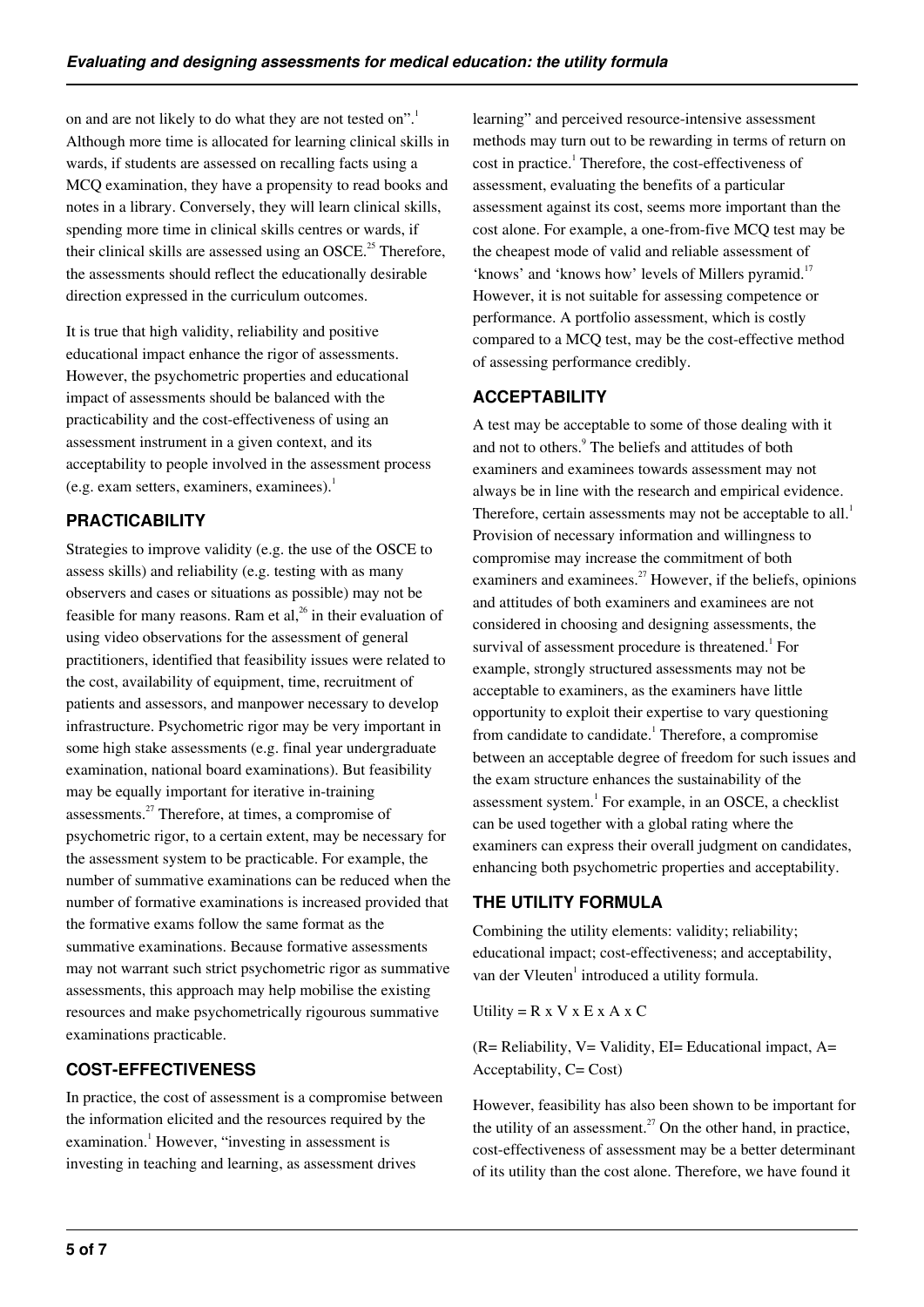on and are not likely to do what they are not tested on".<sup>1</sup> Although more time is allocated for learning clinical skills in wards, if students are assessed on recalling facts using a MCQ examination, they have a propensity to read books and notes in a library. Conversely, they will learn clinical skills, spending more time in clinical skills centres or wards, if their clinical skills are assessed using an OSCE.<sup>25</sup> Therefore, the assessments should reflect the educationally desirable direction expressed in the curriculum outcomes.

It is true that high validity, reliability and positive educational impact enhance the rigor of assessments. However, the psychometric properties and educational impact of assessments should be balanced with the practicability and the cost-effectiveness of using an assessment instrument in a given context, and its acceptability to people involved in the assessment process (e.g. exam setters, examiners, examinees). $<sup>1</sup>$ </sup>

# **PRACTICABILITY**

Strategies to improve validity (e.g. the use of the OSCE to assess skills) and reliability (e.g. testing with as many observers and cases or situations as possible) may not be feasible for many reasons. Ram et al,<sup>26</sup> in their evaluation of using video observations for the assessment of general practitioners, identified that feasibility issues were related to the cost, availability of equipment, time, recruitment of patients and assessors, and manpower necessary to develop infrastructure. Psychometric rigor may be very important in some high stake assessments (e.g. final year undergraduate examination, national board examinations). But feasibility may be equally important for iterative in-training assessments.<sup>27</sup> Therefore, at times, a compromise of psychometric rigor, to a certain extent, may be necessary for the assessment system to be practicable. For example, the number of summative examinations can be reduced when the number of formative examinations is increased provided that the formative exams follow the same format as the summative examinations. Because formative assessments may not warrant such strict psychometric rigor as summative assessments, this approach may help mobilise the existing resources and make psychometrically rigourous summative examinations practicable.

## **COST-EFFECTIVENESS**

In practice, the cost of assessment is a compromise between the information elicited and the resources required by the examination.<sup>1</sup> However, "investing in assessment is investing in teaching and learning, as assessment drives

learning" and perceived resource-intensive assessment methods may turn out to be rewarding in terms of return on cost in practice.<sup>1</sup> Therefore, the cost-effectiveness of assessment, evaluating the benefits of a particular assessment against its cost, seems more important than the cost alone. For example, a one-from-five MCQ test may be the cheapest mode of valid and reliable assessment of 'knows' and 'knows how' levels of Millers pyramid.<sup>17</sup> However, it is not suitable for assessing competence or performance. A portfolio assessment, which is costly compared to a MCQ test, may be the cost-effective method of assessing performance credibly.

# **ACCEPTABILITY**

A test may be acceptable to some of those dealing with it and not to others.<sup>9</sup> The beliefs and attitudes of both examiners and examinees towards assessment may not always be in line with the research and empirical evidence. Therefore, certain assessments may not be acceptable to all.<sup>1</sup> Provision of necessary information and willingness to compromise may increase the commitment of both examiners and examinees. $^{27}$  However, if the beliefs, opinions and attitudes of both examiners and examinees are not considered in choosing and designing assessments, the survival of assessment procedure is threatened.<sup>1</sup> For example, strongly structured assessments may not be acceptable to examiners, as the examiners have little opportunity to exploit their expertise to vary questioning from candidate to candidate.<sup>1</sup> Therefore, a compromise between an acceptable degree of freedom for such issues and the exam structure enhances the sustainability of the assessment system.<sup>1</sup> For example, in an OSCE, a checklist can be used together with a global rating where the examiners can express their overall judgment on candidates, enhancing both psychometric properties and acceptability.

## **THE UTILITY FORMULA**

Combining the utility elements: validity; reliability; educational impact; cost-effectiveness; and acceptability, van der Vleuten<sup>1</sup> introduced a utility formula.

Utility =  $R \times V \times E \times A \times C$ 

 $(R= Reliability, V= Validity, EI= Educational impact, A=$ Acceptability, C= Cost)

However, feasibility has also been shown to be important for the utility of an assessment.<sup>27</sup> On the other hand, in practice, cost-effectiveness of assessment may be a better determinant of its utility than the cost alone. Therefore, we have found it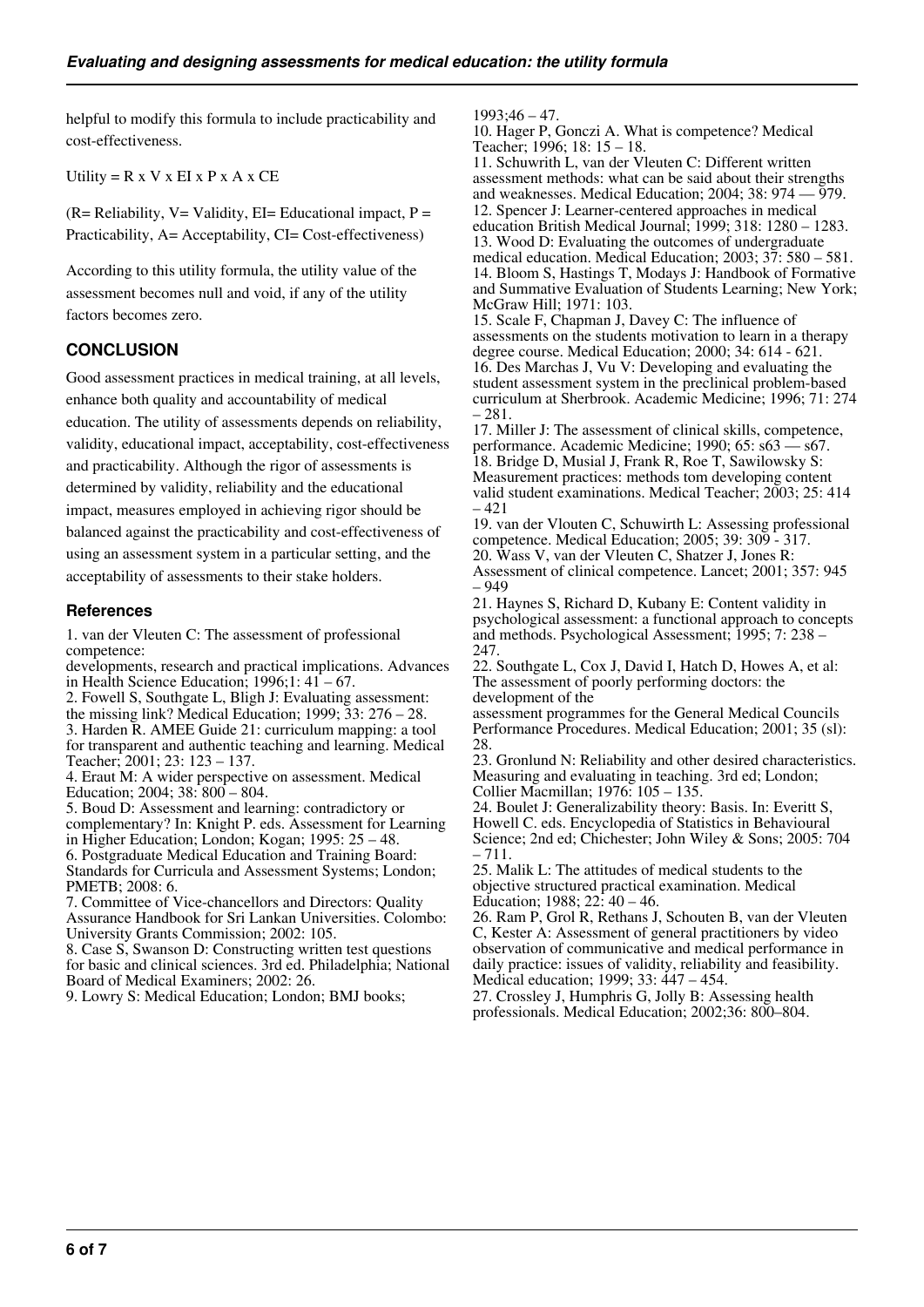helpful to modify this formula to include practicability and cost-effectiveness.

Utility =  $R \times V \times EI \times P \times A \times CE$ 

 $(R= Reliability, V= Validity, EI= Educational impact, P =$ Practicability, A= Acceptability, CI= Cost-effectiveness)

According to this utility formula, the utility value of the assessment becomes null and void, if any of the utility factors becomes zero.

## **CONCLUSION**

Good assessment practices in medical training, at all levels, enhance both quality and accountability of medical education. The utility of assessments depends on reliability, validity, educational impact, acceptability, cost-effectiveness and practicability. Although the rigor of assessments is determined by validity, reliability and the educational impact, measures employed in achieving rigor should be balanced against the practicability and cost-effectiveness of using an assessment system in a particular setting, and the acceptability of assessments to their stake holders.

#### **References**

1. van der Vleuten C: The assessment of professional competence:

developments, research and practical implications. Advances in Health Science Education;  $1996;1:41-67$ . 2. Fowell S, Southgate L, Bligh J: Evaluating assessment: the missing link? Medical Education; 1999; 33: 276 – 28. 3. Harden R. AMEE Guide 21: curriculum mapping: a tool

for transparent and authentic teaching and learning. Medical Teacher; 2001; 23: 123 – 137.

4. Eraut M: A wider perspective on assessment. Medical Education; 2004; 38: 800 – 804.

5. Boud D: Assessment and learning: contradictory or complementary? In: Knight P. eds. Assessment for Learning in Higher Education; London; Kogan; 1995: 25 – 48. 6. Postgraduate Medical Education and Training Board: Standards for Curricula and Assessment Systems; London; PMETB; 2008: 6.

7. Committee of Vice-chancellors and Directors: Quality Assurance Handbook for Sri Lankan Universities. Colombo: University Grants Commission; 2002: 105.

8. Case S, Swanson D: Constructing written test questions for basic and clinical sciences. 3rd ed. Philadelphia; National Board of Medical Examiners; 2002: 26.

9. Lowry S: Medical Education; London; BMJ books;

1993;46 – 47.

10. Hager P, Gonczi A. What is competence? Medical Teacher; 1996; 18: 15 – 18.

11. Schuwrith L, van der Vleuten C: Different written assessment methods: what can be said about their strengths and weaknesses. Medical Education;  $2004$ ;  $38:974 - 979$ . 12. Spencer J: Learner-centered approaches in medical education British Medical Journal; 1999; 318: 1280 – 1283. 13. Wood D: Evaluating the outcomes of undergraduate medical education. Medical Education; 2003; 37: 580 – 581. 14. Bloom S, Hastings T, Modays J: Handbook of Formative and Summative Evaluation of Students Learning; New York; McGraw Hill; 1971: 103.

15. Scale F, Chapman J, Davey C: The influence of assessments on the students motivation to learn in a therapy degree course. Medical Education; 2000; 34: 614 - 621. 16. Des Marchas J, Vu V: Developing and evaluating the student assessment system in the preclinical problem-based curriculum at Sherbrook. Academic Medicine; 1996; 71: 274 – 281.

17. Miller J: The assessment of clinical skills, competence, performance. Academic Medicine; 1990; 65: s63 — s67. 18. Bridge D, Musial J, Frank R, Roe T, Sawilowsky S: Measurement practices: methods tom developing content valid student examinations. Medical Teacher; 2003; 25: 414 – 421

19. van der Vlouten C, Schuwirth L: Assessing professional competence. Medical Education; 2005; 39: 309 - 317. 20. Wass V, van der Vleuten C, Shatzer J, Jones R: Assessment of clinical competence. Lancet; 2001; 357: 945 – 949

21. Haynes S, Richard D, Kubany E: Content validity in psychological assessment: a functional approach to concepts and methods. Psychological Assessment; 1995; 7: 238 – 247.

22. Southgate L, Cox J, David I, Hatch D, Howes A, et al: The assessment of poorly performing doctors: the development of the

assessment programmes for the General Medical Councils Performance Procedures. Medical Education; 2001; 35 (sl): 28.

23. Gronlund N: Reliability and other desired characteristics. Measuring and evaluating in teaching. 3rd ed; London; Collier Macmillan; 1976: 105 – 135.

24. Boulet J: Generalizability theory: Basis. In: Everitt S, Howell C. eds. Encyclopedia of Statistics in Behavioural Science; 2nd ed; Chichester; John Wiley & Sons; 2005: 704 – 711.

25. Malik L: The attitudes of medical students to the objective structured practical examination. Medical Education; 1988; 22: 40 – 46.

26. Ram P, Grol R, Rethans J, Schouten B, van der Vleuten C, Kester A: Assessment of general practitioners by video observation of communicative and medical performance in daily practice: issues of validity, reliability and feasibility. Medical education; 1999; 33: 447 – 454.

27. Crossley J, Humphris G, Jolly B: Assessing health professionals. Medical Education; 2002;36: 800–804.